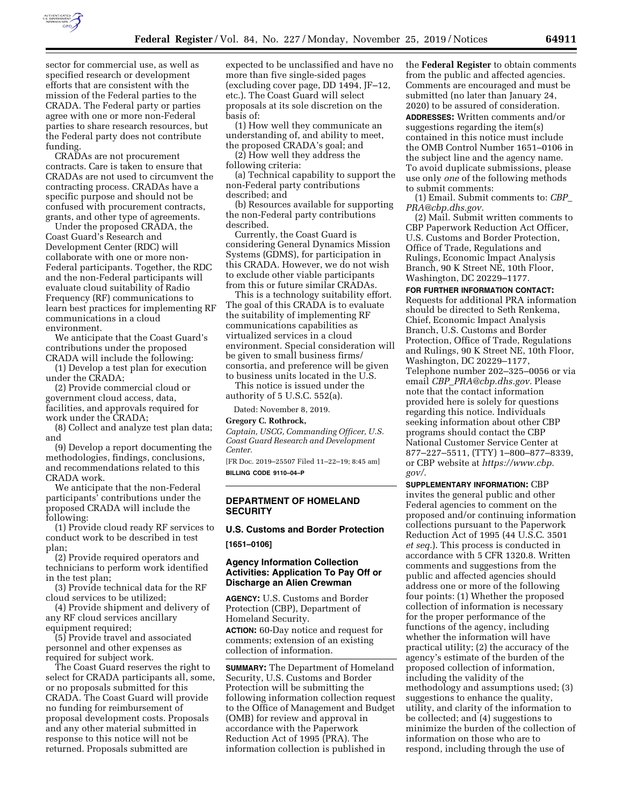

sector for commercial use, as well as specified research or development efforts that are consistent with the mission of the Federal parties to the CRADA. The Federal party or parties agree with one or more non-Federal parties to share research resources, but the Federal party does not contribute funding.

CRADAs are not procurement contracts. Care is taken to ensure that CRADAs are not used to circumvent the contracting process. CRADAs have a specific purpose and should not be confused with procurement contracts, grants, and other type of agreements.

Under the proposed CRADA, the Coast Guard's Research and Development Center (RDC) will collaborate with one or more non-Federal participants. Together, the RDC and the non-Federal participants will evaluate cloud suitability of Radio Frequency (RF) communications to learn best practices for implementing RF communications in a cloud environment.

We anticipate that the Coast Guard's contributions under the proposed CRADA will include the following:

(1) Develop a test plan for execution under the CRADA;

(2) Provide commercial cloud or government cloud access, data, facilities, and approvals required for work under the CRADA;

(8) Collect and analyze test plan data; and

(9) Develop a report documenting the methodologies, findings, conclusions, and recommendations related to this CRADA work.

We anticipate that the non-Federal participants' contributions under the proposed CRADA will include the following:

(1) Provide cloud ready RF services to conduct work to be described in test plan;

(2) Provide required operators and technicians to perform work identified in the test plan;

(3) Provide technical data for the RF cloud services to be utilized;

(4) Provide shipment and delivery of any RF cloud services ancillary equipment required;

(5) Provide travel and associated personnel and other expenses as required for subject work.

The Coast Guard reserves the right to select for CRADA participants all, some, or no proposals submitted for this CRADA. The Coast Guard will provide no funding for reimbursement of proposal development costs. Proposals and any other material submitted in response to this notice will not be returned. Proposals submitted are

expected to be unclassified and have no more than five single-sided pages (excluding cover page, DD 1494, JF–12, etc.). The Coast Guard will select proposals at its sole discretion on the basis of:

(1) How well they communicate an understanding of, and ability to meet, the proposed CRADA's goal; and

(2) How well they address the following criteria:

(a) Technical capability to support the non-Federal party contributions described; and

(b) Resources available for supporting the non-Federal party contributions described.

Currently, the Coast Guard is considering General Dynamics Mission Systems (GDMS), for participation in this CRADA. However, we do not wish to exclude other viable participants from this or future similar CRADAs.

This is a technology suitability effort. The goal of this CRADA is to evaluate the suitability of implementing RF communications capabilities as virtualized services in a cloud environment. Special consideration will be given to small business firms/ consortia, and preference will be given to business units located in the U.S.

This notice is issued under the authority of 5 U.S.C. 552(a).

Dated: November 8, 2019.

#### **Gregory C. Rothrock,**

*Captain, USCG, Commanding Officer, U.S. Coast Guard Research and Development Center.* 

[FR Doc. 2019–25507 Filed 11–22–19; 8:45 am] **BILLING CODE 9110–04–P** 

#### **DEPARTMENT OF HOMELAND SECURITY**

# **U.S. Customs and Border Protection [1651–0106]**

### **Agency Information Collection Activities: Application To Pay Off or Discharge an Alien Crewman**

**AGENCY:** U.S. Customs and Border Protection (CBP), Department of Homeland Security. **ACTION:** 60-Day notice and request for comments; extension of an existing collection of information.

**SUMMARY:** The Department of Homeland Security, U.S. Customs and Border Protection will be submitting the following information collection request to the Office of Management and Budget (OMB) for review and approval in accordance with the Paperwork Reduction Act of 1995 (PRA). The information collection is published in

the **Federal Register** to obtain comments from the public and affected agencies. Comments are encouraged and must be submitted (no later than January 24, 2020) to be assured of consideration. **ADDRESSES:** Written comments and/or suggestions regarding the item(s) contained in this notice must include the OMB Control Number 1651–0106 in the subject line and the agency name. To avoid duplicate submissions, please use only *one* of the following methods to submit comments:

(1) Email. Submit comments to: *[CBP](mailto:CBP_PRA@cbp.dhs.gov)*\_ *[PRA@cbp.dhs.gov.](mailto:CBP_PRA@cbp.dhs.gov)* 

(2) Mail. Submit written comments to CBP Paperwork Reduction Act Officer, U.S. Customs and Border Protection, Office of Trade, Regulations and Rulings, Economic Impact Analysis Branch, 90 K Street NE, 10th Floor, Washington, DC 20229–1177.

**FOR FURTHER INFORMATION CONTACT:**  Requests for additional PRA information should be directed to Seth Renkema, Chief, Economic Impact Analysis Branch, U.S. Customs and Border Protection, Office of Trade, Regulations and Rulings, 90 K Street NE, 10th Floor, Washington, DC 20229–1177, Telephone number 202–325–0056 or via email *CBP*\_*[PRA@cbp.dhs.gov.](mailto:CBP_PRA@cbp.dhs.gov)* Please note that the contact information provided here is solely for questions regarding this notice. Individuals seeking information about other CBP programs should contact the CBP National Customer Service Center at 877–227–5511, (TTY) 1–800–877–8339, or CBP website at *[https://www.cbp.](https://www.cbp.gov/)  [gov/.](https://www.cbp.gov/)* 

**SUPPLEMENTARY INFORMATION:** CBP invites the general public and other Federal agencies to comment on the proposed and/or continuing information collections pursuant to the Paperwork Reduction Act of 1995 (44 U.S.C. 3501 *et seq.*). This process is conducted in accordance with 5 CFR 1320.8. Written comments and suggestions from the public and affected agencies should address one or more of the following four points: (1) Whether the proposed collection of information is necessary for the proper performance of the functions of the agency, including whether the information will have practical utility; (2) the accuracy of the agency's estimate of the burden of the proposed collection of information, including the validity of the methodology and assumptions used; (3) suggestions to enhance the quality, utility, and clarity of the information to be collected; and (4) suggestions to minimize the burden of the collection of information on those who are to respond, including through the use of